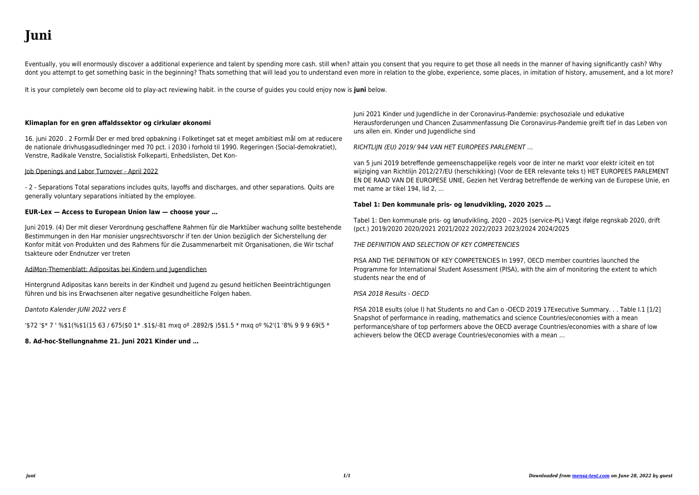# **Juni**

When people should go to the books stores, search inauguration by shop, shelf by shelf, it is really problematic. This is why we provide the book compilations in this website. It will very ease you to see guide **juni** as you such as.

By searching the title, publisher, or authors of quide you in point of fact want, you can discover them rapidly. In the house, workplace, or perhaps in your method can be all best area within net connections. If you aspiration to download and install the juni, it is unquestionably simple then, previously currently we extend the join to buy and make bargains to download and install juni so simple!

# PIDATO PANCASILA 1 JUNI 1945 SOEKARNO PERSPEKTIF …

Pidato Soekarno 1 Juni 1945 Pidato yang disampaikan oleh Soekarno pada 1 Juni 1945 di hadapan BPUPKI menandakan kelahiran lima sila yang menjadi dasar negara Indonesia. Banyak hal yang dapat digali melalui teks pidato tersebut, pemilihan katanya, bahasanya, dan penyampaiannya. Meskipun Indonesia tempo dulu dengan

*Kelas Mahasiswa Instalasi Ubuntu 22.04 dan FLOSS untuk …*

Selasa 28 Juni 20:00-21:00 WIB • Pendahuluan instalasi OS • Praktik instalasi Ubuntu 22.04 • Pengenalan Free Software untuk mahasiswa • Pendahuluan LibreOffice dan Zotero • Praktik membuat dokumen Writer • Tanya jawab • Selesai pertemuan 2 Rabu 29 Juni 20:00-21:00 WIB • Pendahuluan Free Software dan website ilmiah untuk mahasiswa

# **HUJAN BULAN JUNI KARYA SAPARDI DJOKO DAMONO DAN …**

Juni karya Sapardi Djoko Damono sebagai bahan ajar Bahasa Indonesia di SMA. Jenis penelitian ini adalah deskriptif kualitatif. Data dalam tesis ini berupa kata, ungkapan, dan kalimat dalam kulmpulan puisi Hujan Bulan Juni Karya Sapardi Djoko Damono. Sumber data dalam tesis ini ada dua. Pertama, sumber data

# **Klimaplan for en grøn affaldssektor og cirkulær økonomi**

16. juni 2020 . 2 Formål Der er med bred opbakning i Folketinget sat et meget ambitiøst mål om at reducere de nationale drivhusgasudledninger med 70 pct. i 2030 i forhold til 1990. Regeringen (Social-demokratiet), Venstre, Radikale Venstre, Socialistisk Folkeparti, Enhedslisten, Det Kon-

# **Sejarah Lahirnya Pancasila - Ace Hasan**

Soekarno pada tanggal 1 Juni 1945 berpidato tentang dasar negara sebagai dalam kerangka "dasar falsafah" (philosofische grondslag) atau "pandangan dunia" (weltanschauung) dengan penjelasan yang runtut, solid dan koheren. Kelima prinsip yang menjadi titik persetujuan (common denominator) segenap elemen bangsa itu, dalam pandangan Bung ...

# AMERSHIELD VOC WHITE RESIN - PPG EU SDS REACH - Belgium

: :10 Juni 2022 Erfüllt Verordnung (EG) Nr. 1907/2006 (REACH), Anhang II, abgeändert gemäss Verordnung (EG) Nr. 2015/830 ABSCHNITT 2: Mögliche Gefahren Siehe Abschnitt 11 für detailiertere Informationen zu gesundheitlichen Auswirkungen und Symptomen. Siehe Abschnitt

16 für den vollständigen Wortlaut der oben angegebenen H-Sätze.

PT Chandra Sakti Utama Leasing - CSULFinance

tanggal 30 juni 2019 dan 31 desember 2018 serta periode enam bulan yang berakhir pada tanggal 30 juni 2019 dan 2018 pt chandra sakti utama leasing financial statements as of june 30, 2019 and december 31, 2018 and for the six – month periods ended june 30, 2019 and 2018 daftar isi halaman/ page table of contents

# **SOLVALLA OPEN STRETCH NEJ**

SOLVALLA 22 JUNI 08-620 07 00 kundservice@atg.se KUNDSERVICE TV-TIDER: Kl 19.00-22.00 V86 Direkt från Solvalla, TV12. ATG Live sänds i Com Hem på kanalplats 18, på atg.se och i din ATG-Butik. (Med reservation för ev. ändringar). Gratisprogram Programredaktör: Joakim Lindqvist, Dagens Spel Ansvarig utgivare: Stefan Berggren, Dagens Spel FAKTA

#### User Manual Juni - Smirthwaite

The Juni is intended for indoor use only, the normal operating conditions are as follows: A. Temperature: 41°F to 86°F (+5°C to 40°C) B. Relative Humidity: 15 to 90%, non-condensing, but not requiring a water vapour pressure

#### **ETHICON Gesamtkatalog**

Juni 2022. Vorwort Wir haben unsere Informationsquellen vervollständigt und freuen uns, den neuen aktuellen ETHICON Gesamtkatalog als intelligente PDF-Datei vorstellen zu können. Er ermöglicht auch offline den direkten Zugriff auf den gewünschten Produktbereich. Die Sprungmarken Funktion führt sie aus dem Inhaltsverzeichnis heraus, direkt ...

# **PT SUNTER LAKESIDE HOTEL Tbk**

Jun 30, 2021 · Saldo 30 Juni 2021 45.000.000.000 23.183.372.390 74.991.042.063 15.757.968.061 158.932.382.514 Balance as at June 30, 2021 4 part of these financial statements The accompanying notes are an integral PT SUNTER LAKESIDE HOTELTbk 30 JUNI 2021 DAN 2020 UNTUK PERIODE YANG BERAKHIR PADA (Disajikan dalam Rupiah penuh, …

# **Aftale om udmøntning af genåbning pr. 6. maj 2021**

Trin 2: 21. maj 2021 Trin 3: 14. juni 2021 Trin 4: 1. august 2021 1. Ordningen for større arrangementer med sid-dende publikum Sektioner af 500 fsva. udenførs og indendørs spillesteder, teatre, biografer og andre lokaler, hvor der udøves kulturaktiviteter (fase 1)\* Fsva. indendørs